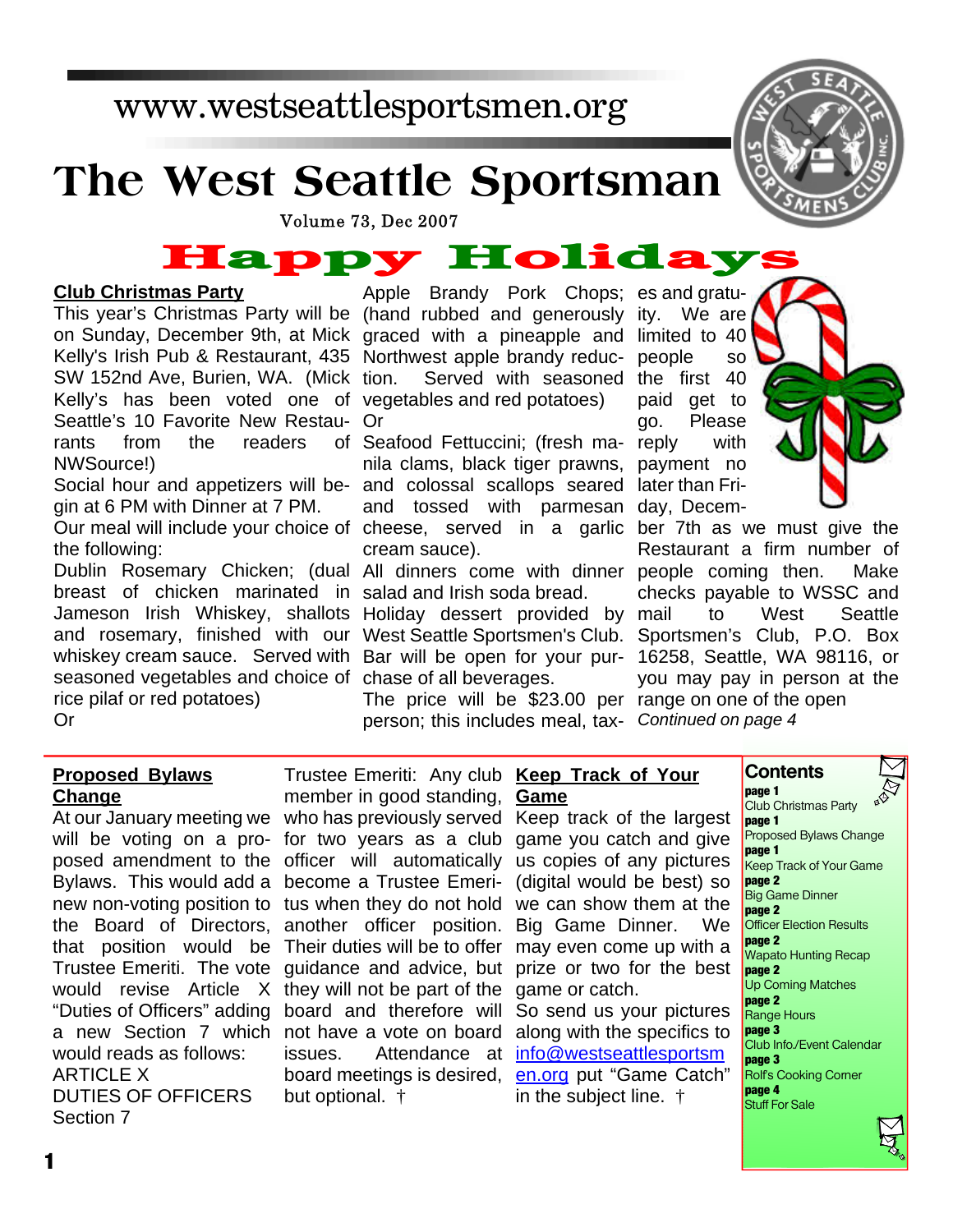## www.westseattlesportsmen.org

## **The West Seattle Sportsman**



# Volume 73, Dec 2007<br> **Happy Holiday**

#### **Club Christmas Party**

This year's Christmas Party will be (hand rubbed and generously ity. We are on Sunday, December 9th, at Mick graced with a pineapple and limited to 40 Kelly's Irish Pub & Restaurant, 435 Northwest apple brandy reduc-Kelly's has been voted one of vegetables and red potatoes) Seattle's 10 Favorite New Restau- Or SW 152nd Ave, Burien, WA. (Mick rants from the readers NWSource!)

Social hour and appetizers will be- and colossal scallops seared later than Fri-Our meal will include your choice of cheese, served in a garlic ber 7th as we must give the gin at 6 PM with Dinner at 7 PM.

Dublin Rosemary Chicken; (dual All dinners come with dinner people coming then. Make breast of chicken marinated in salad and Irish soda bread. Jameson Irish Whiskey, shallots Holiday dessert provided by and rosemary, finished with our West Seattle Sportsmen's Club. whiskey cream sauce. Served with Bar will be open for your purseasoned vegetables and choice of chase of all beverages. the following: rice pilaf or red potatoes) Or

Apple Brandy Pork Chops; es and gratution. Served with seasoned the first 40

of Seafood Fettuccini; (fresh manila clams, black tiger prawns, payment no and tossed with parmesan day, Decemcream sauce).

The price will be \$23.00 per range on one of the open person; this includes meal, tax-*Continued on page 4*

people so paid get to go. Please reply with

Restaurant a firm number of checks payable to WSSC and to West Seattle Sportsmen's Club, P.O. Box 16258, Seattle, WA 98116, or you may pay in person at the

#### **Proposed Bylaws Change**

would reads as follows: ARTICLE X DUTIES OF OFFICERS Section 7

At our January meeting we who has previously served Keep track of the largest will be voting on a pro-for two years as a club game you catch and give posed amendment to the officer will automatically us copies of any pictures Bylaws. This would add a become a Trustee Emeri-(digital would be best) so new non-voting position to tus when they do not hold we can show them at the the Board of Directors, another officer position. Big Game Dinner. We that position would be Their duties will be to offer may even come up with a Trustee Emeriti. The vote guidance and advice, but prize or two for the best would revise Article X they will not be part of the game or catch. "Duties of Officers" adding board and therefore will So send us your pictures a new Section 7 which not have a vote on board along with the specifics to Trustee Emeriti: Any club **Keep Track of Your** member in good standing, **Game** issues. Attendance at **info@westseattlesportsm** board meetings is desired, en.org put "Game Catch" but optional. †

in the subject line. †

**Contents page 1**

Club Christmas Party **page 1** Proposed Bylaws Change **page 1** Keep Track of Your Game **page 2** Big Game Dinner **page 2 Officer Election Results page 2** Wapato Hunting Recap **page 2** Up Coming Matches **page 2** Range Hours **page 3** Club Info./Event Calendar **page 3** Rolf's Cooking Corner **page 4** Stuff For Sale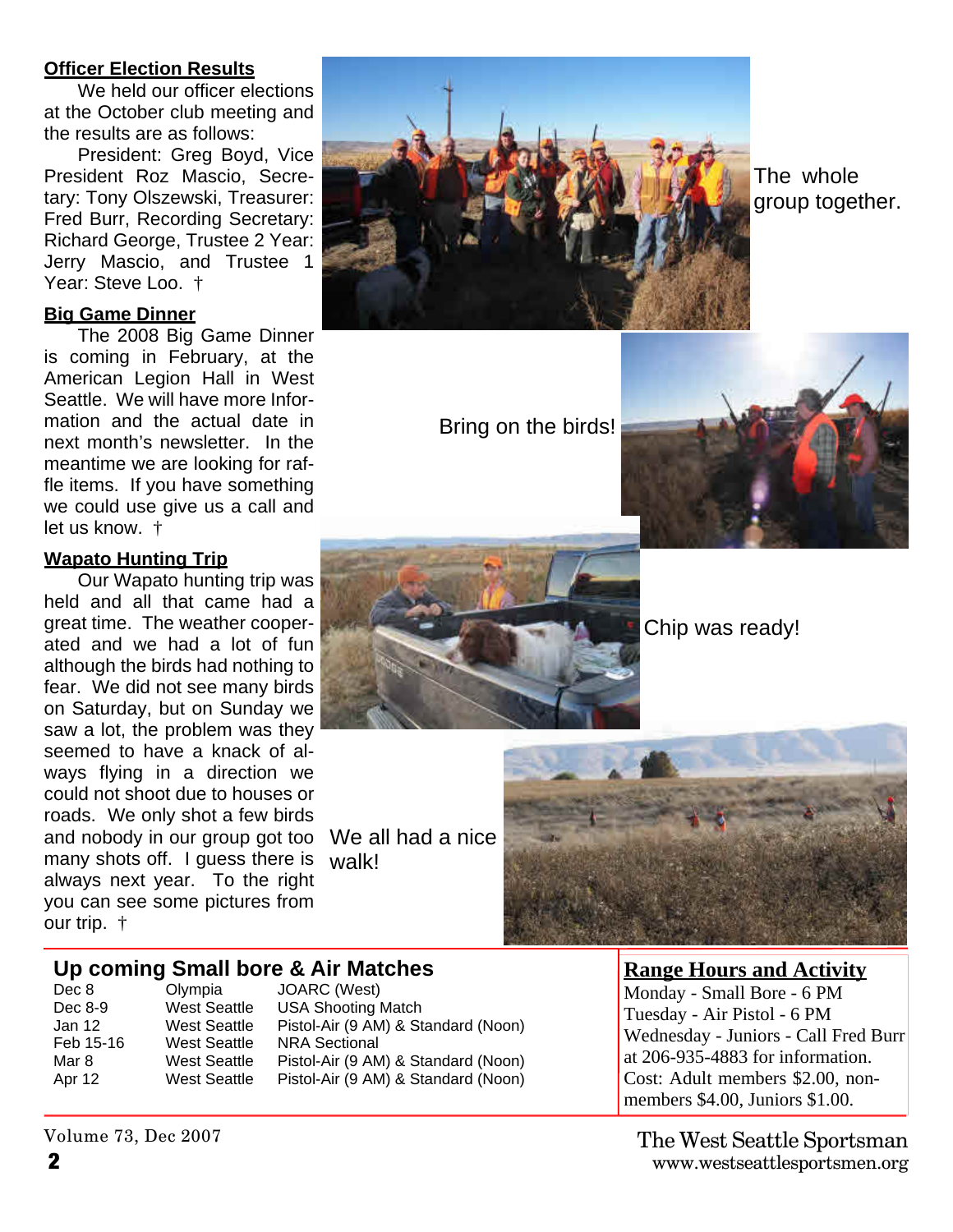#### **Officer Election Results**

We held our officer elections at the October club meeting and the results are as follows:

President: Greg Boyd, Vice President Roz Mascio, Secretary: Tony Olszewski, Treasurer: Fred Burr, Recording Secretary: Richard George, Trustee 2 Year: Jerry Mascio, and Trustee 1 Year: Steve Loo.  $\dagger$ 

#### **Big Game Dinner**

The 2008 Big Game Dinner is coming in February, at the American Legion Hall in West Seattle. We will have more Information and the actual date in next month's newsletter. In the meantime we are looking for raffle items. If you have something we could use give us a call and let us know. †

#### **Wapato Hunting Trip**

Our Wapato hunting trip was held and all that came had a great time. The weather cooperated and we had a lot of fun although the birds had nothing to fear. We did not see many birds on Saturday, but on Sunday we saw a lot, the problem was they seemed to have a knack of always flying in a direction we could not shoot due to houses or roads. We only shot a few birds and nobody in our group got too many shots off. I guess there is always next year. To the right you can see some pictures from our trip. †



The whole group together.

Bring on the birds!





Chip was ready!

We all had a nice walk!



#### **Up coming Small bore & Air Matches**

Dec 8 Olympia JOARC (West)<br>Dec 8-9 West Seattle USA Shooting I Feb 15-16 West Seattle NRA Sectional

West Seattle USA Shooting Match<br>West Seattle Pistol-Air (9 AM) & Sta Jan 12 West Seattle Pistol-Air (9 AM) & Standard (Noon) Mar 8 West Seattle Pistol-Air (9 AM) & Standard (Noon) Apr 12 West Seattle Pistol-Air (9 AM) & Standard (Noon) **Range Hours and Activity**

Monday - Small Bore - 6 PM Tuesday - Air Pistol - 6 PM Wednesday - Juniors - Call Fred Burr at 206-935-4883 for information. Cost: Adult members \$2.00, nonmembers \$4.00, Juniors \$1.00.

**2** www.westseattlesportsmen.org The West Seattle Sportsman

Volume 73, Dec 2007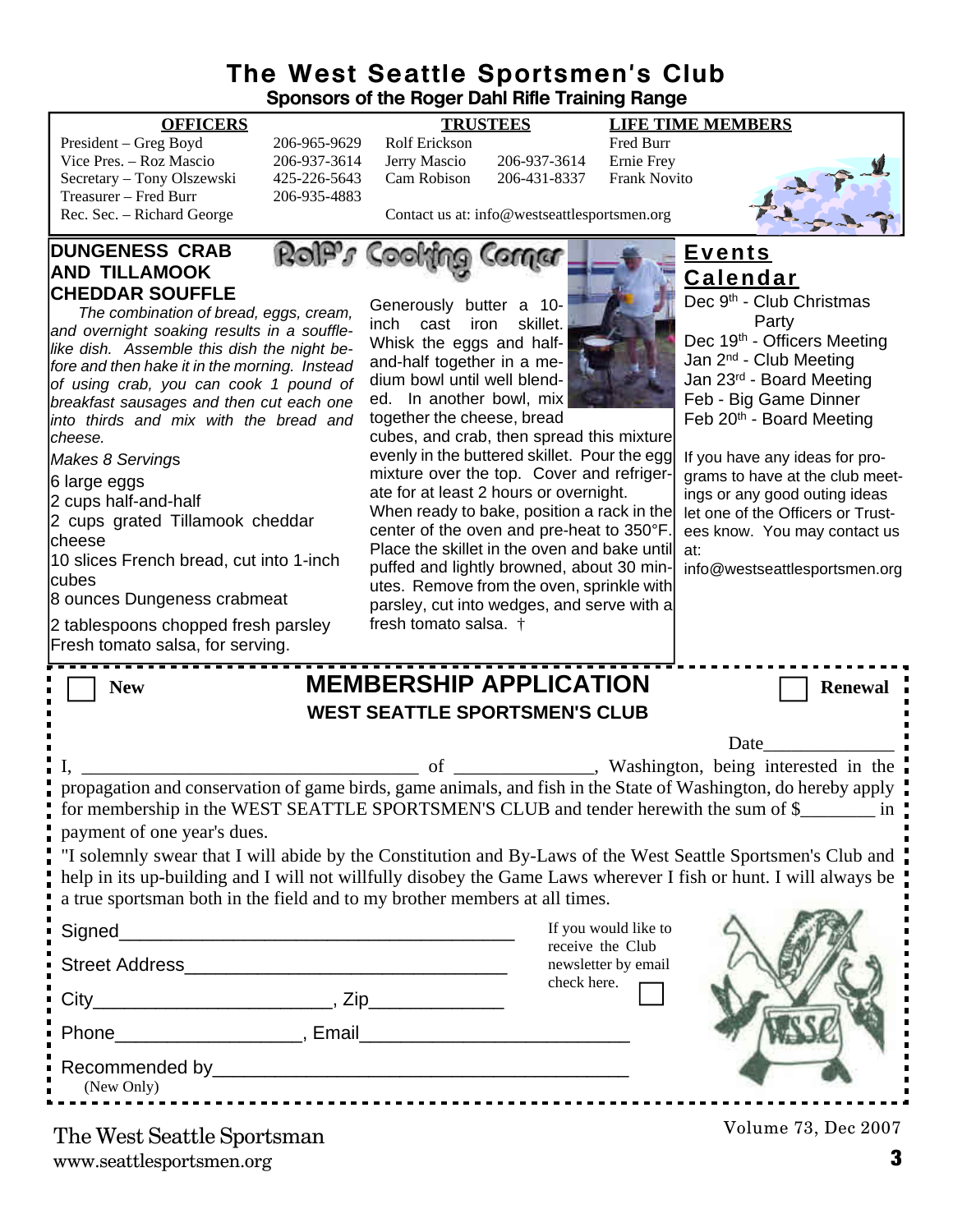#### **The West Seattle Sportsmen's Club Sponsors of the Roger Dahl Rifle Training Range**

#### **OFFICERS TRUSTEES LIFE TIME MEMBERS**

| President – Greg Boyd      | 206-965-9629 | – Rolf Erickson                              |              | <b>Fred Burr</b> |
|----------------------------|--------------|----------------------------------------------|--------------|------------------|
| Vice Pres. – Roz Mascio    | 206-937-3614 | Jerry Mascio                                 | 206-937-3614 | Ernie Fre        |
| Secretary – Tony Olszewski | 425-226-5643 | Cam Robison                                  | 206-431-8337 | <b>Frank No</b>  |
| Treasurer – Fred Burr      | 206-935-4883 |                                              |              |                  |
| Rec. Sec. – Richard George |              | Contact us at: info@westseattlesportsmen.org |              |                  |

#### **DUNGENESS CRAB AND TILLAMOOK CHEDDAR SOUFFLE**

*The combination of bread, eggs, cream, and overnight soaking results in a soufflelike dish. Assemble this dish the night before and then hake it in the morning. Instead of using crab, you can cook 1 pound of breakfast sausages and then cut each one into thirds and mix with the bread and cheese.*

*Makes 8 Serving*s

6 large eggs

2 cups half-and-half

2 cups grated Tillamook cheddar cheese

10 slices French bread, cut into 1-inch cubes

8 ounces Dungeness crabmeat

2 tablespoons chopped fresh parsley Fresh tomato salsa, for serving.

|              | IRUSILLS      |              | ене н            |  |
|--------------|---------------|--------------|------------------|--|
| 206-965-9629 | Rolf Erickson |              | Fred Burr        |  |
| 206-937-3614 | Jerry Mascio  | 206-937-3614 | Ernie Frey       |  |
| 125-226-5643 | Cam Robison   | 206-431-8337 | <b>Frank Nov</b> |  |

RolPs Cooking Corner

son 206-431-8337 Frank Novito



Contact us at: info@westseattlesportsmen.org

Generously butter a 10 inch cast iron skillet. Whisk the eggs and halfand-half together in a medium bowl until well blend-



together the cheese, bread cubes, and crab, then spread this mixture evenly in the buttered skillet. Pour the egg mixture over the top. Cover and refrigerate for at least 2 hours or overnight.

When ready to bake, position a rack in the center of the oven and pre-heat to 350°F. Place the skillet in the oven and bake until puffed and lightly browned, about 30 minutes. Remove from the oven, sprinkle with parsley, cut into wedges, and serve with a fresh tomato salsa. †

**Events Calendar**

Dec 9<sup>th</sup> - Club Christmas Party Dec 19<sup>th</sup> - Officers Meeting Jan 2nd - Club Meeting Jan 23rd - Board Meeting Feb - Big Game Dinner Feb 20<sup>th</sup> - Board Meeting

If you have any ideas for programs to have at the club meetings or any good outing ideas let one of the Officers or Trustees know. You may contact us at:

info@westseattlesportsmen.org

| <b>New</b>                                                                                                                                                                                                                                   |  | <b>MEMBERSHIP APPLICATION</b>           | <b>Renewal</b>      |  |  |  |
|----------------------------------------------------------------------------------------------------------------------------------------------------------------------------------------------------------------------------------------------|--|-----------------------------------------|---------------------|--|--|--|
| <b>WEST SEATTLE SPORTSMEN'S CLUB</b>                                                                                                                                                                                                         |  |                                         |                     |  |  |  |
|                                                                                                                                                                                                                                              |  |                                         | <b>Date</b>         |  |  |  |
|                                                                                                                                                                                                                                              |  |                                         |                     |  |  |  |
| propagation and conservation of game birds, game animals, and fish in the State of Washington, do hereby apply<br>for membership in the WEST SEATTLE SPORTSMEN'S CLUB and tender herewith the sum of \$<br>payment of one year's dues.       |  |                                         |                     |  |  |  |
| I "I solemnly swear that I will abide by the Constitution and By-Laws of the West Seattle Sportsmen's Club and                                                                                                                               |  |                                         |                     |  |  |  |
| help in its up-building and I will not willfully disobey the Game Laws wherever I fish or hunt. I will always be                                                                                                                             |  |                                         |                     |  |  |  |
| a true sportsman both in the field and to my brother members at all times.                                                                                                                                                                   |  |                                         |                     |  |  |  |
| Signed__________                                                                                                                                                                                                                             |  | If you would like to                    |                     |  |  |  |
|                                                                                                                                                                                                                                              |  | receive the Club<br>newsletter by email |                     |  |  |  |
|                                                                                                                                                                                                                                              |  | check here.                             |                     |  |  |  |
| Phone Representation of the Representation of the Representation of the Representation of the Representation of the Representation of the Representation of the Representation of the Representation of the Representation of                |  |                                         |                     |  |  |  |
| Recommended by Property and the commended by the commended by the comment of the comment of the comment of the comment of the comment of the comment of the comment of the comment of the comment of the comment of the commen<br>(New Only) |  |                                         |                     |  |  |  |
| The West Seattle Sportsman                                                                                                                                                                                                                   |  |                                         | Volume 73, Dec 2007 |  |  |  |

www.seattlesportsmen.org **3** The West Seattle Sportsman